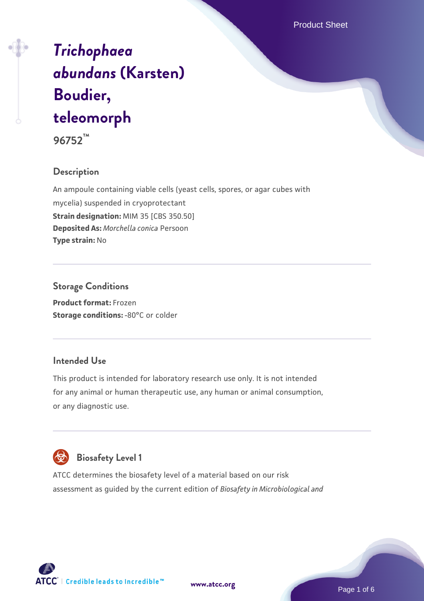Product Sheet

# *[Trichophaea](https://www.atcc.org/products/96752) [abundans](https://www.atcc.org/products/96752)* **[\(Karsten\)](https://www.atcc.org/products/96752) [Boudier,](https://www.atcc.org/products/96752) [teleomorph](https://www.atcc.org/products/96752)**

**96752™**

# **Description**

An ampoule containing viable cells (yeast cells, spores, or agar cubes with mycelia) suspended in cryoprotectant **Strain designation:** MIM 35 [CBS 350.50] **Deposited As:** *Morchella conica* Persoon **Type strain:** No

# **Storage Conditions**

**Product format:** Frozen **Storage conditions: -80°C or colder** 

# **Intended Use**

This product is intended for laboratory research use only. It is not intended for any animal or human therapeutic use, any human or animal consumption, or any diagnostic use.



# **Biosafety Level 1**

ATCC determines the biosafety level of a material based on our risk assessment as guided by the current edition of *Biosafety in Microbiological and*

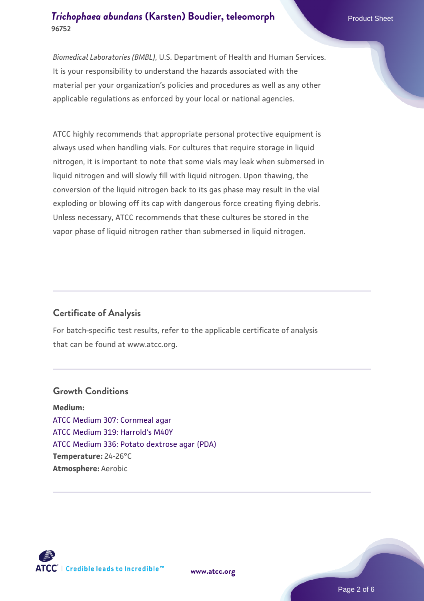*Biomedical Laboratories (BMBL)*, U.S. Department of Health and Human Services. It is your responsibility to understand the hazards associated with the material per your organization's policies and procedures as well as any other applicable regulations as enforced by your local or national agencies.

ATCC highly recommends that appropriate personal protective equipment is always used when handling vials. For cultures that require storage in liquid nitrogen, it is important to note that some vials may leak when submersed in liquid nitrogen and will slowly fill with liquid nitrogen. Upon thawing, the conversion of the liquid nitrogen back to its gas phase may result in the vial exploding or blowing off its cap with dangerous force creating flying debris. Unless necessary, ATCC recommends that these cultures be stored in the vapor phase of liquid nitrogen rather than submersed in liquid nitrogen.

# **Certificate of Analysis**

For batch-specific test results, refer to the applicable certificate of analysis that can be found at www.atcc.org.

#### **Growth Conditions**

**Medium:**  [ATCC Medium 307: Cornmeal agar](https://www.atcc.org/-/media/product-assets/documents/microbial-media-formulations/3/0/7/atcc-medium-307.pdf?rev=5cd8aaa5fcde44f5873396cc2a06f590) [ATCC Medium 319: Harrold's M40Y](https://www.atcc.org/-/media/product-assets/documents/microbial-media-formulations/1/9/atcc-medium-319.pdf?rev=98bed305e1db47c4a24f8a2bb836064c) [ATCC Medium 336: Potato dextrose agar \(PDA\)](https://www.atcc.org/-/media/product-assets/documents/microbial-media-formulations/3/3/6/atcc-medium-336.pdf?rev=d9160ad44d934cd8b65175461abbf3b9) **Temperature:** 24-26°C **Atmosphere:** Aerobic



**[www.atcc.org](http://www.atcc.org)**

Page 2 of 6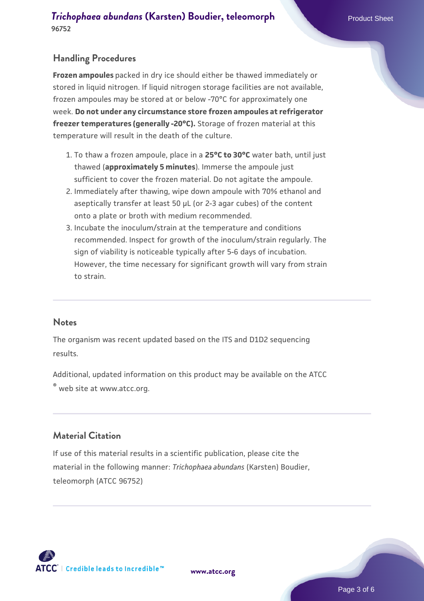# **Handling Procedures**

**Frozen ampoules** packed in dry ice should either be thawed immediately or stored in liquid nitrogen. If liquid nitrogen storage facilities are not available, frozen ampoules may be stored at or below -70°C for approximately one week. **Do not under any circumstance store frozen ampoules at refrigerator freezer temperatures (generally -20°C).** Storage of frozen material at this temperature will result in the death of the culture.

- 1. To thaw a frozen ampoule, place in a **25°C to 30°C** water bath, until just thawed (**approximately 5 minutes**). Immerse the ampoule just sufficient to cover the frozen material. Do not agitate the ampoule.
- 2. Immediately after thawing, wipe down ampoule with 70% ethanol and aseptically transfer at least 50 µL (or 2-3 agar cubes) of the content onto a plate or broth with medium recommended.
- Incubate the inoculum/strain at the temperature and conditions 3. recommended. Inspect for growth of the inoculum/strain regularly. The sign of viability is noticeable typically after 5-6 days of incubation. However, the time necessary for significant growth will vary from strain to strain.

#### **Notes**

The organism was recent updated based on the ITS and D1D2 sequencing results.

Additional, updated information on this product may be available on the ATCC

® web site at www.atcc.org.

#### **Material Citation**

If use of this material results in a scientific publication, please cite the material in the following manner: *Trichophaea abundans* (Karsten) Boudier, teleomorph (ATCC 96752)



**[www.atcc.org](http://www.atcc.org)**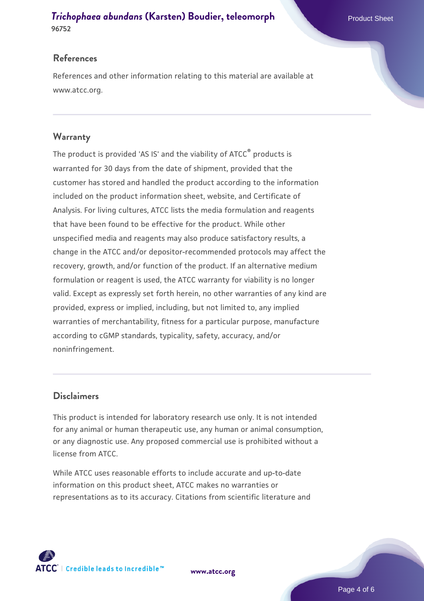#### **References**

References and other information relating to this material are available at www.atcc.org.

## **Warranty**

The product is provided 'AS IS' and the viability of ATCC® products is warranted for 30 days from the date of shipment, provided that the customer has stored and handled the product according to the information included on the product information sheet, website, and Certificate of Analysis. For living cultures, ATCC lists the media formulation and reagents that have been found to be effective for the product. While other unspecified media and reagents may also produce satisfactory results, a change in the ATCC and/or depositor-recommended protocols may affect the recovery, growth, and/or function of the product. If an alternative medium formulation or reagent is used, the ATCC warranty for viability is no longer valid. Except as expressly set forth herein, no other warranties of any kind are provided, express or implied, including, but not limited to, any implied warranties of merchantability, fitness for a particular purpose, manufacture according to cGMP standards, typicality, safety, accuracy, and/or noninfringement.

#### **Disclaimers**

This product is intended for laboratory research use only. It is not intended for any animal or human therapeutic use, any human or animal consumption, or any diagnostic use. Any proposed commercial use is prohibited without a license from ATCC.

While ATCC uses reasonable efforts to include accurate and up-to-date information on this product sheet, ATCC makes no warranties or representations as to its accuracy. Citations from scientific literature and



**[www.atcc.org](http://www.atcc.org)**

Page 4 of 6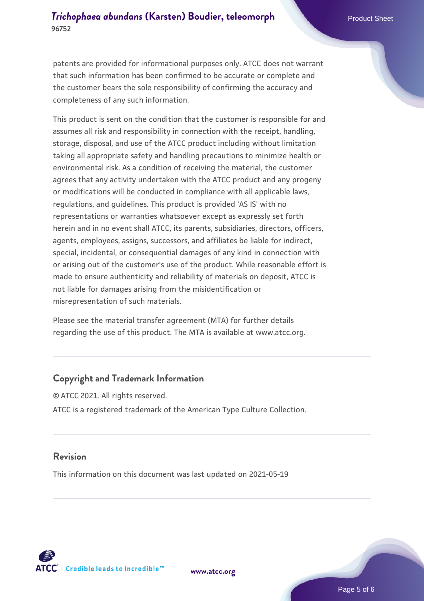patents are provided for informational purposes only. ATCC does not warrant that such information has been confirmed to be accurate or complete and the customer bears the sole responsibility of confirming the accuracy and completeness of any such information.

This product is sent on the condition that the customer is responsible for and assumes all risk and responsibility in connection with the receipt, handling, storage, disposal, and use of the ATCC product including without limitation taking all appropriate safety and handling precautions to minimize health or environmental risk. As a condition of receiving the material, the customer agrees that any activity undertaken with the ATCC product and any progeny or modifications will be conducted in compliance with all applicable laws, regulations, and guidelines. This product is provided 'AS IS' with no representations or warranties whatsoever except as expressly set forth herein and in no event shall ATCC, its parents, subsidiaries, directors, officers, agents, employees, assigns, successors, and affiliates be liable for indirect, special, incidental, or consequential damages of any kind in connection with or arising out of the customer's use of the product. While reasonable effort is made to ensure authenticity and reliability of materials on deposit, ATCC is not liable for damages arising from the misidentification or misrepresentation of such materials.

Please see the material transfer agreement (MTA) for further details regarding the use of this product. The MTA is available at www.atcc.org.

#### **Copyright and Trademark Information**

© ATCC 2021. All rights reserved. ATCC is a registered trademark of the American Type Culture Collection.

#### **Revision**

This information on this document was last updated on 2021-05-19



**[www.atcc.org](http://www.atcc.org)**